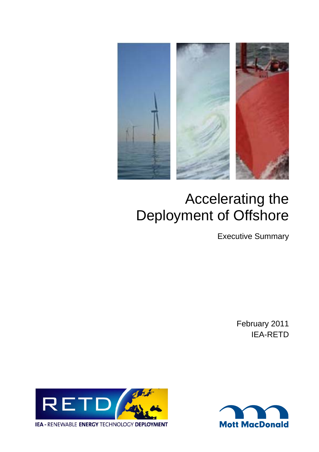

# Accelerating the Deployment of Offshore

Executive Summary

February 2011 IEA-RETD



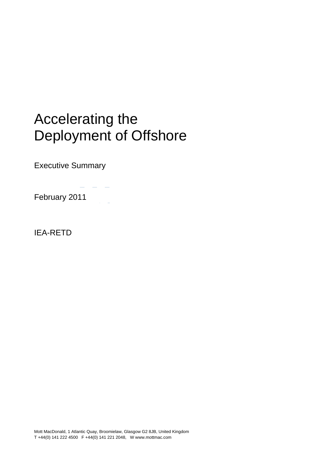### Accelerating the Livelink/PIMS Live (online)/Enterprise Workspace/ Units/Powe Deployment of Offshore

Executive Summary

February 2011

IEA-RETD

Mott MacDonald, 1 Atlantic Quay, Broomielaw, Glasgow G2 8JB, United Kingdom T +44(0) 141 222 4500 F +44(0) 141 221 2048, W www.mottmac.com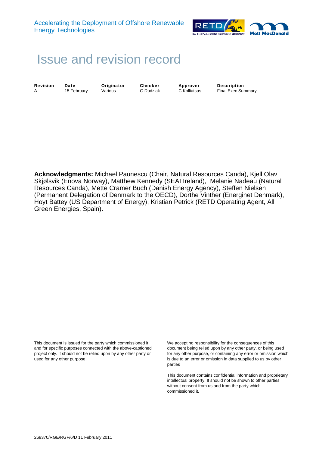

## Issue and revision record

**Revision Date Criginator Checker Approver Description**<br>A 15 February Various G Dudziak C Kolliatsas Final Exec Sur A 15 February Various G Dudziak C Kolliatsas Final Exec Summary

**Acknowledgments:** Michael Paunescu (Chair, Natural Resources Canda), Kjell Olav Skjølsvik (Enova Norway), Matthew Kennedy (SEAI Ireland), Melanie Nadeau (Natural Resources Canda), Mette Cramer Buch (Danish Energy Agency), Steffen Nielsen (Permanent Delegation of Denmark to the OECD), Dorthe Vinther (Energinet Denmark), Hoyt Battey (US Department of Energy), Kristian Petrick (RETD Operating Agent, All Green Energies, Spain).

This document is issued for the party which commissioned it and for specific purposes connected with the above-captioned project only. It should not be relied upon by any other party or used for any other purpose.

We accept no responsibility for the consequences of this document being relied upon by any other party, or being used for any other purpose, or containing any error or omission which is due to an error or omission in data supplied to us by other parties

This document contains confidential information and proprietary intellectual property. It should not be shown to other parties without consent from us and from the party which commissioned it.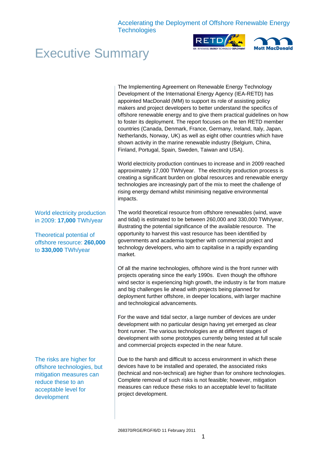



### Executive Summary

The Implementing Agreement on Renewable Energy Technology Development of the International Energy Agency (IEA-RETD) has appointed MacDonald (MM) to support its role of assisting policy makers and project developers to better understand the specifics of offshore renewable energy and to give them practical guidelines on how to foster its deployment. The report focuses on the ten RETD member countries (Canada, Denmark, France, Germany, Ireland, Italy, Japan, Netherlands, Norway, UK) as well as eight other countries which have shown activity in the marine renewable industry (Belgium, China, Finland, Portugal, Spain, Sweden, Taiwan and USA).

World electricity production continues to increase and in 2009 reached approximately 17,000 TWh/year. The electricity production process is creating a significant burden on global resources and renewable energy technologies are increasingly part of the mix to meet the challenge of rising energy demand whilst minimising negative environmental impacts.

The world theoretical resource from offshore renewables (wind, wave and tidal) is estimated to be between 260,000 and 330,000 TWh/year, illustrating the potential significance of the available resource. The opportunity to harvest this vast resource has been identified by governments and academia together with commercial project and technology developers, who aim to capitalise in a rapidly expanding market.

Of all the marine technologies, offshore wind is the front runner with projects operating since the early 1990s. Even though the offshore wind sector is experiencing high growth, the industry is far from mature and big challenges lie ahead with projects being planned for deployment further offshore, in deeper locations, with larger machine and technological advancements.

For the wave and tidal sector, a large number of devices are under development with no particular design having yet emerged as clear front runner. The various technologies are at different stages of development with some prototypes currently being tested at full scale and commercial projects expected in the near future.

Due to the harsh and difficult to access environment in which these devices have to be installed and operated, the associated risks (technical and non-technical) are higher than for onshore technologies. Complete removal of such risks is not feasible; however, mitigation measures can reduce these risks to an acceptable level to facilitate project development.

World electricity production in 2009: **17,000** TWh/year

Theoretical potential of offshore resource: **260,000** to **330,000** TWh/year

The risks are higher for offshore technologies, but mitigation measures can reduce these to an acceptable level for development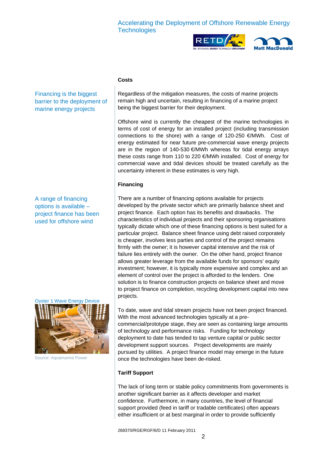



#### **Costs**

Financing is the biggest barrier to the deployment of marine energy projects

A range of financing options is available – project finance has been used for offshore wind



Source: Aquamarine Power

Regardless of the mitigation measures, the costs of marine projects remain high and uncertain, resulting in financing of a marine project being the biggest barrier for their deployment.

Offshore wind is currently the cheapest of the marine technologies in terms of cost of energy for an installed project (including transmission connections to the shore) with a range of 120-250 €/MWh. Cost of energy estimated for near future pre-commercial wave energy projects are in the region of 140-530 €/MWh whereas for tidal energy arrays these costs range from 110 to 220 €/MWh installed. Cost of energy for commercial wave and tidal devices should be treated carefully as the uncertainty inherent in these estimates is very high.

#### **Financing**

There are a number of financing options available for projects developed by the private sector which are primarily balance sheet and project finance. Each option has its benefits and drawbacks. The characteristics of individual projects and their sponsoring organisations typically dictate which one of these financing options is best suited for a particular project. Balance sheet finance using debt raised corporately is cheaper, involves less parties and control of the project remains firmly with the owner; it is however capital intensive and the risk of failure lies entirely with the owner. On the other hand, project finance allows greater leverage from the available funds for sponsors' equity investment; however, it is typically more expensive and complex and an element of control over the project is afforded to the lenders. One solution is to finance construction projects on balance sheet and move to project finance on completion, recycling development capital into new projects.

To date, wave and tidal stream projects have not been project financed. With the most advanced technologies typically at a precommercial/prototype stage, they are seen as containing large amounts of technology and performance risks. Funding for technology deployment to date has tended to tap venture capital or public sector development support sources. Project developments are mainly pursued by utilities. A project finance model may emerge in the future once the technologies have been de-risked.

#### **Tariff Support**

The lack of long term or stable policy commitments from governments is another significant barrier as it affects developer and market confidence. Furthermore, in many countries, the level of financial support provided (feed in tariff or tradable certificates) often appears either insufficient or at best marginal in order to provide sufficiently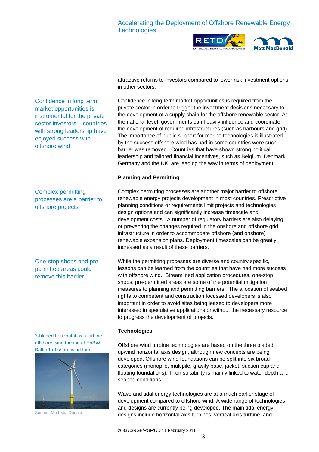



Confidence in long term market opportunities is instrumental for the private sector investors – countries with strong leadership have enjoyed success with offshore wind

Complex permitting processes are a barrier to offshore projects

One-stop shops and prepermitted areas could remove this barrier

3-bladed horizontal axis turbine offshore wind turbine at EnBW Baltic 1 offshore wind farm



Source: Mott MacDonald

attractive returns to investors compared to lower risk investment options in other sectors.

Confidence in long term market opportunities is required from the private sector in order to trigger the investment decisions necessary to the development of a supply chain for the offshore renewable sector. At the national level, governments can heavily influence and coordinate the development of required infrastructures (such as harbours and grid). The importance of public support for marine technologies is illustrated by the success offshore wind has had in some countries were such barrier was removed. Countries that have shown strong political leadership and tailored financial incentives, such as Belgium, Denmark, Germany and the UK, are leading the way in terms of deployment.

#### **Planning and Permitting**

Complex permitting processes are another major barrier to offshore renewable energy projects development in most countries. Prescriptive planning conditions or requirements limit projects and technologies design options and can significantly increase timescale and development costs. A number of regulatory barriers are also delaying or preventing the changes required in the onshore and offshore grid infrastructure in order to accommodate offshore (and onshore) renewable expansion plans. Deployment timescales can be greatly increased as a result of these barriers.

While the permitting processes are diverse and country specific, lessons can be learned from the countries that have had more success with offshore wind. Streamlined application procedures, one-stop shops, pre-permitted areas are some of the potential mitigation measures to planning and permitting barriers. The allocation of seabed rights to competent and construction focussed developers is also important in order to avoid sites being leased to developers more interested in speculative applications or without the necessary resource to progress the development of projects.

#### **Technologies**

Offshore wind turbine technologies are based on the three bladed upwind horizontal axis design, although new concepts are being developed. Offshore wind foundations can be split into six broad categories (monopile, multipile, gravity base, jacket, suction cup and floating foundations). Their suitability is mainly linked to water depth and seabed conditions.

Wave and tidal energy technologies are at a much earlier stage of development compared to offshore wind. A wide range of technologies and designs are currently being developed. The main tidal energy designs include horizontal axis turbines, vertical axis turbine, and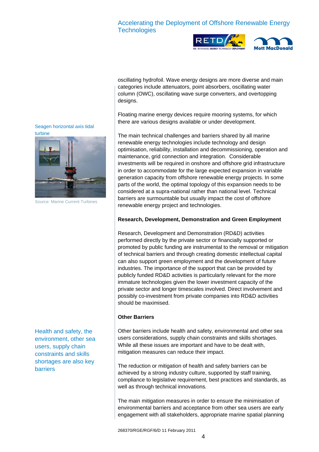



oscillating hydrofoil. Wave energy designs are more diverse and main categories include attenuators, point absorbers, oscillating water column (OWC), oscillating wave surge converters, and overtopping designs.

Floating marine energy devices require mooring systems, for which there are various designs available or under development. Seagen horizontal axis tidal

> The main technical challenges and barriers shared by all marine renewable energy technologies include technology and design optimisation, reliability, installation and decommissioning, operation and maintenance, grid connection and integration. Considerable investments will be required in onshore and offshore grid infrastructure in order to accommodate for the large expected expansion in variable generation capacity from offshore renewable energy projects. In some parts of the world, the optimal topology of this expansion needs to be considered at a supra-national rather than national level. Technical barriers are surmountable but usually impact the cost of offshore renewable energy project and technologies.

#### **Research, Development, Demonstration and Green Employment**

Research, Development and Demonstration (RD&D) activities performed directly by the private sector or financially supported or promoted by public funding are instrumental to the removal or mitigation of technical barriers and through creating domestic intellectual capital can also support green employment and the development of future industries. The importance of the support that can be provided by publicly funded RD&D activities is particularly relevant for the more immature technologies given the lower investment capacity of the private sector and longer timescales involved. Direct involvement and possibly co-investment from private companies into RD&D activities should be maximised.

#### **Other Barriers**

Other barriers include health and safety, environmental and other sea users considerations, supply chain constraints and skills shortages. While all these issues are important and have to be dealt with, mitigation measures can reduce their impact.

The reduction or mitigation of health and safety barriers can be achieved by a strong industry culture, supported by staff training, compliance to legislative requirement, best practices and standards, as well as through technical innovations.

The main mitigation measures in order to ensure the minimisation of environmental barriers and acceptance from other sea users are early engagement with all stakeholders, appropriate marine spatial planning



Source: Marine Current Turbines

Health and safety, the environment, other sea users, supply chain constraints and skills shortages are also key barriers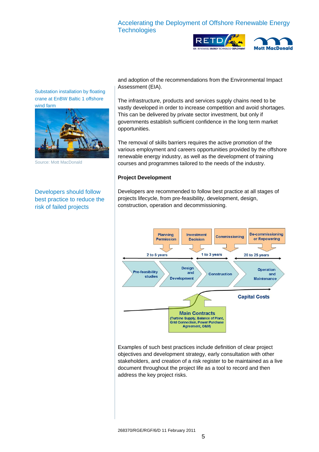



Substation installation by floating crane at EnBW Baltic 1 offshore wind farm



Source: Mott MacDonald

Developers should follow best practice to reduce the risk of failed projects

and adoption of the recommendations from the Environmental Impact Assessment (EIA).

The infrastructure, products and services supply chains need to be vastly developed in order to increase competition and avoid shortages. This can be delivered by private sector investment, but only if governments establish sufficient confidence in the long term market opportunities.

The removal of skills barriers requires the active promotion of the various employment and careers opportunities provided by the offshore renewable energy industry, as well as the development of training courses and programmes tailored to the needs of the industry.

#### **Project Development**

Developers are recommended to follow best practice at all stages of projects lifecycle, from pre-feasibility, development, design, construction, operation and decommissioning.



Examples of such best practices include definition of clear project objectives and development strategy, early consultation with other stakeholders, and creation of a risk register to be maintained as a live document throughout the project life as a tool to record and then address the key project risks.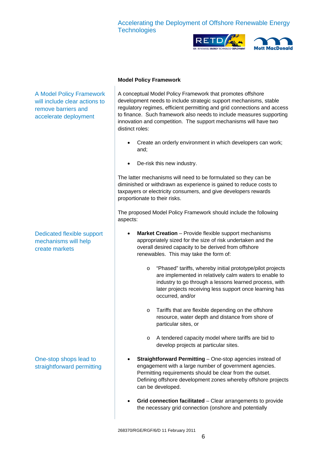



#### **Model Policy Framework**

A conceptual Model Policy Framework that promotes offshore development needs to include strategic support mechanisms, stable regulatory regimes, efficient permitting and grid connections and access to finance. Such framework also needs to include measures supporting innovation and competition. The support mechanisms will have two distinct roles:

- Create an orderly environment in which developers can work; and;
- De-risk this new industry.

The latter mechanisms will need to be formulated so they can be diminished or withdrawn as experience is gained to reduce costs to taxpayers or electricity consumers, and give developers rewards proportionate to their risks.

The proposed Model Policy Framework should include the following aspects:

- **Market Creation** Provide flexible support mechanisms appropriately sized for the size of risk undertaken and the overall desired capacity to be derived from offshore renewables. This may take the form of:
	- o "Phased" tariffs, whereby initial prototype/pilot projects are implemented in relatively calm waters to enable to industry to go through a lessons learned process, with later projects receiving less support once learning has occurred, and/or
	- o Tariffs that are flexible depending on the offshore resource, water depth and distance from shore of particular sites, or
	- o A tendered capacity model where tariffs are bid to develop projects at particular sites.
- **Straightforward Permitting** One-stop agencies instead of engagement with a large number of government agencies. Permitting requirements should be clear from the outset. Defining offshore development zones whereby offshore projects can be developed.
- **Grid connection facilitated**  Clear arrangements to provide the necessary grid connection (onshore and potentially

A Model Policy Framework will include clear actions to remove barriers and accelerate deployment

Dedicated flexible support mechanisms will help create markets

One-stop shops lead to straightforward permitting